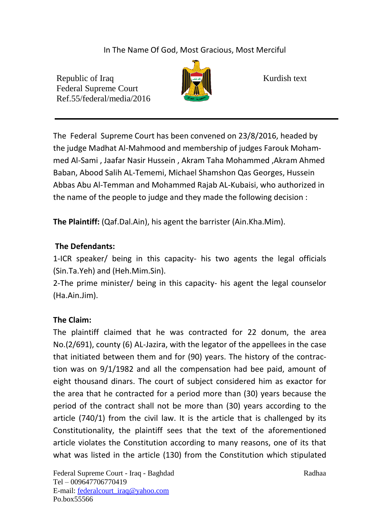In The Name Of God, Most Gracious, Most Merciful

Republic of Iraq  $\|\cdot\|$   $\|\cdot\|$  Kurdish text Federal Supreme Court Ref.55/federal/media/2016



The Federal Supreme Court has been convened on 23/8/2016, headed by the judge Madhat Al-Mahmood and membership of judges Farouk Mohammed Al-Sami , Jaafar Nasir Hussein , Akram Taha Mohammed ,Akram Ahmed Baban, Abood Salih AL-Tememi, Michael Shamshon Qas Georges, Hussein Abbas Abu Al-Temman and Mohammed Rajab AL-Kubaisi, who authorized in the name of the people to judge and they made the following decision :

**The Plaintiff:** (Qaf.Dal.Ain), his agent the barrister (Ain.Kha.Mim).

## **The Defendants:**

1-ICR speaker/ being in this capacity- his two agents the legal officials (Sin.Ta.Yeh) and (Heh.Mim.Sin).

2-The prime minister/ being in this capacity- his agent the legal counselor (Ha.Ain.Jim).

## **The Claim:**

The plaintiff claimed that he was contracted for 22 donum, the area No.(2/691), county (6) AL-Jazira, with the legator of the appellees in the case that initiated between them and for (90) years. The history of the contraction was on 9/1/1982 and all the compensation had bee paid, amount of eight thousand dinars. The court of subject considered him as exactor for the area that he contracted for a period more than (30) years because the period of the contract shall not be more than (30) years according to the article (740/1) from the civil law. It is the article that is challenged by its Constitutionality, the plaintiff sees that the text of the aforementioned article violates the Constitution according to many reasons, one of its that what was listed in the article (130) from the Constitution which stipulated

Federal Supreme Court - Iraq - Baghdad Radhaa Radhaa Tel – 009647706770419 E-mail: [federalcourt\\_iraq@yahoo.com](mailto:federalcourt_iraq@yahoo.com) Po.box55566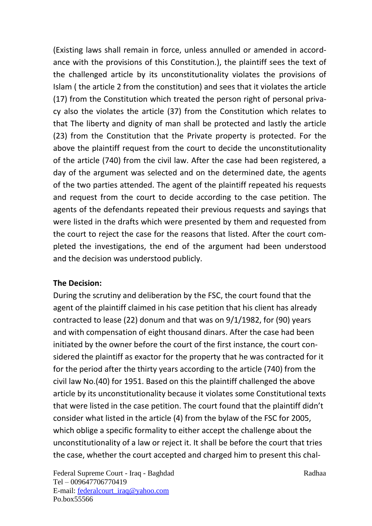(Existing laws shall remain in force, unless annulled or amended in accordance with the provisions of this Constitution.), the plaintiff sees the text of the challenged article by its unconstitutionality violates the provisions of Islam ( the article 2 from the constitution) and sees that it violates the article (17) from the Constitution which treated the person right of personal privacy also the violates the article (37) from the Constitution which relates to that The liberty and dignity of man shall be protected and lastly the article (23) from the Constitution that the Private property is protected. For the above the plaintiff request from the court to decide the unconstitutionality of the article (740) from the civil law. After the case had been registered, a day of the argument was selected and on the determined date, the agents of the two parties attended. The agent of the plaintiff repeated his requests and request from the court to decide according to the case petition. The agents of the defendants repeated their previous requests and sayings that were listed in the drafts which were presented by them and requested from the court to reject the case for the reasons that listed. After the court completed the investigations, the end of the argument had been understood and the decision was understood publicly.

## **The Decision:**

During the scrutiny and deliberation by the FSC, the court found that the agent of the plaintiff claimed in his case petition that his client has already contracted to lease (22) donum and that was on 9/1/1982, for (90) years and with compensation of eight thousand dinars. After the case had been initiated by the owner before the court of the first instance, the court considered the plaintiff as exactor for the property that he was contracted for it for the period after the thirty years according to the article (740) from the civil law No.(40) for 1951. Based on this the plaintiff challenged the above article by its unconstitutionality because it violates some Constitutional texts that were listed in the case petition. The court found that the plaintiff didn't consider what listed in the article (4) from the bylaw of the FSC for 2005, which oblige a specific formality to either accept the challenge about the unconstitutionality of a law or reject it. It shall be before the court that tries the case, whether the court accepted and charged him to present this chal-